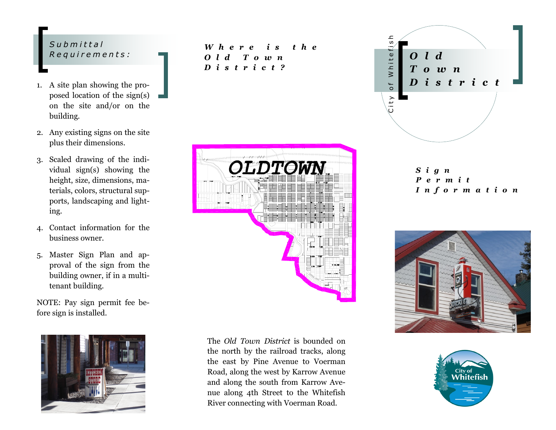#### *S u b m i t t a l R e q u i r e m e n t s :*

- 1. A site plan showing the proposed location of the sign(s) on the site and/or on the building.
- 2. Any existing signs on the site plus their dimensions.
- 3. Scaled drawing of the individual sign(s) showing the height, size, dimensions, materials, colors, structural supports, landscaping and lighting.
- 4. Contact information for the business owner.
- 5. Master Sign Plan and approval of the sign from the building owner, if in a multitenant building.

NOTE: Pay sign permit fee before sign is installed.



*W h e r e i s t h e O l d T o w n D i s t r i c t ?*



The *Old Town District* is bounded on the north by the railroad tracks, along the east by Pine Avenue to Voerman Road, along the west by Karrow Avenue and along the south from Karrow Avenue along 4th Street to the Whitefish River connecting with Voerman Road.



*S i g n P e r m i t I n f o r m a t i o n*